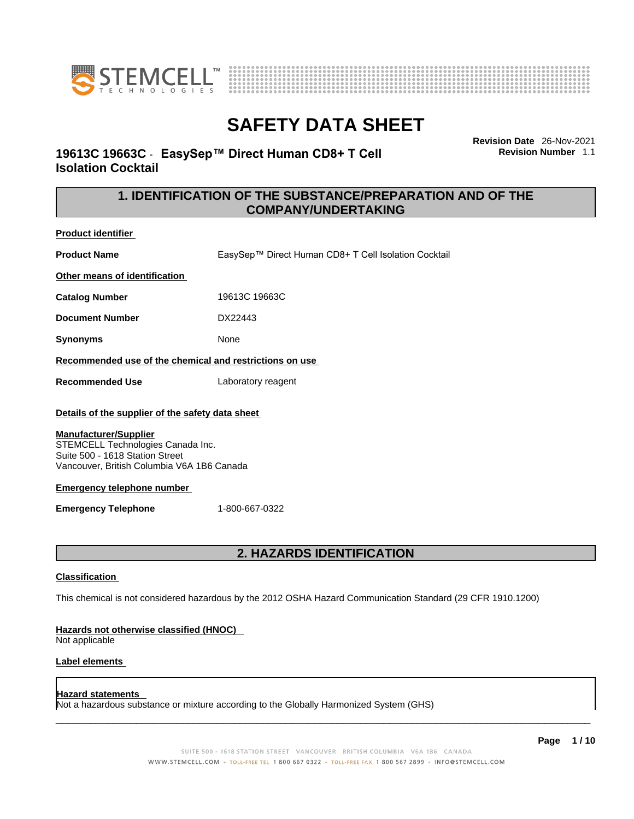



### **19613C 19663C** - **EasySep™ Direct Human CD8+ T Cell Isolation Cocktail**

**Revision Date** 26-Nov-2021 **Revision Number** 1.1

### **1. IDENTIFICATION OF THE SUBSTANCE/PREPARATION AND OF THE COMPANY/UNDERTAKING**

**Product identifier**

**Product Name** EasySep™ Direct Human CD8+ T Cell Isolation Cocktail

**Other means of identification**

**Catalog Number** 19613C 19663C

**Document Number** DX22443

**Synonyms** None

**Recommended use of the chemical and restrictions on use**

**Recommended Use** Laboratory reagent

### **Details of the supplier of the safety data sheet**

### **Manufacturer/Supplier**

STEMCELL Technologies Canada Inc. Suite 500 - 1618 Station Street Vancouver, British Columbia V6A 1B6 Canada

### **Emergency telephone number**

**Emergency Telephone** 1-800-667-0322

### **2. HAZARDS IDENTIFICATION**

### **Classification**

This chemical is not considered hazardous by the 2012 OSHA Hazard Communication Standard (29 CFR 1910.1200)

### **Hazards not otherwise classified (HNOC)**

Not applicable

### **Label elements**

### **Hazard statements**

Not a hazardous substance or mixture according to the Globally Harmonized System (GHS)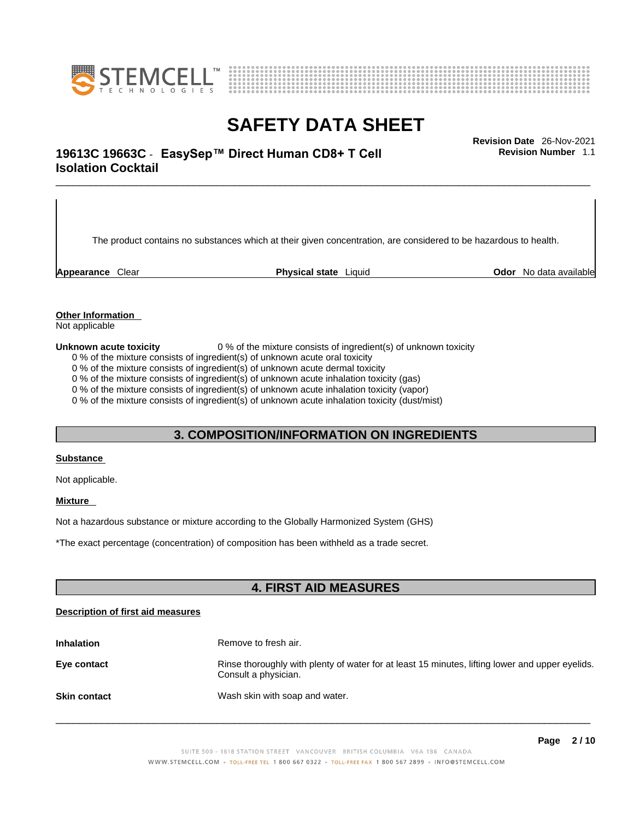



### \_\_\_\_\_\_\_\_\_\_\_\_\_\_\_\_\_\_\_\_\_\_\_\_\_\_\_\_\_\_\_\_\_\_\_\_\_\_\_\_\_\_\_\_\_\_\_\_\_\_\_\_\_\_\_\_\_\_\_\_\_\_\_\_\_\_\_\_\_\_\_\_\_\_\_\_\_\_\_\_\_\_\_\_\_\_\_\_\_\_\_\_\_ **Revision Date** 26-Nov-2021 **19613C 19663C** - **EasySep™ Direct Human CD8+ T Cell Isolation Cocktail**

The product contains no substances which at their given concentration, are considered to be hazardous to health.

**Appearance** Clear **Physical state** Liquid **Odor** No data available

**Revision Number** 1.1

**Other Information** 

Not applicable

**Unknown acute toxicity** 0 % of the mixture consists of ingredient(s) of unknown toxicity

0 % of the mixture consists of ingredient(s) of unknown acute oral toxicity

0 % of the mixture consists of ingredient(s) of unknown acute dermal toxicity

0 % of the mixture consists of ingredient(s) of unknown acute inhalation toxicity (gas)

0 % of the mixture consists of ingredient(s) of unknown acute inhalation toxicity (vapor)

0 % of the mixture consists of ingredient(s) of unknown acute inhalation toxicity (dust/mist)

### **3. COMPOSITION/INFORMATION ON INGREDIENTS**

#### **Substance**

Not applicable.

### **Mixture**

Not a hazardous substance or mixture according to the Globally Harmonized System (GHS)

\*The exact percentage (concentration) ofcomposition has been withheld as a trade secret.

### **4. FIRST AID MEASURES**

### **Description of first aid measures**

| <b>Inhalation</b>   | Remove to fresh air.                                                                                                    |
|---------------------|-------------------------------------------------------------------------------------------------------------------------|
| Eye contact         | Rinse thoroughly with plenty of water for at least 15 minutes, lifting lower and upper eyelids.<br>Consult a physician. |
| <b>Skin contact</b> | Wash skin with soap and water.                                                                                          |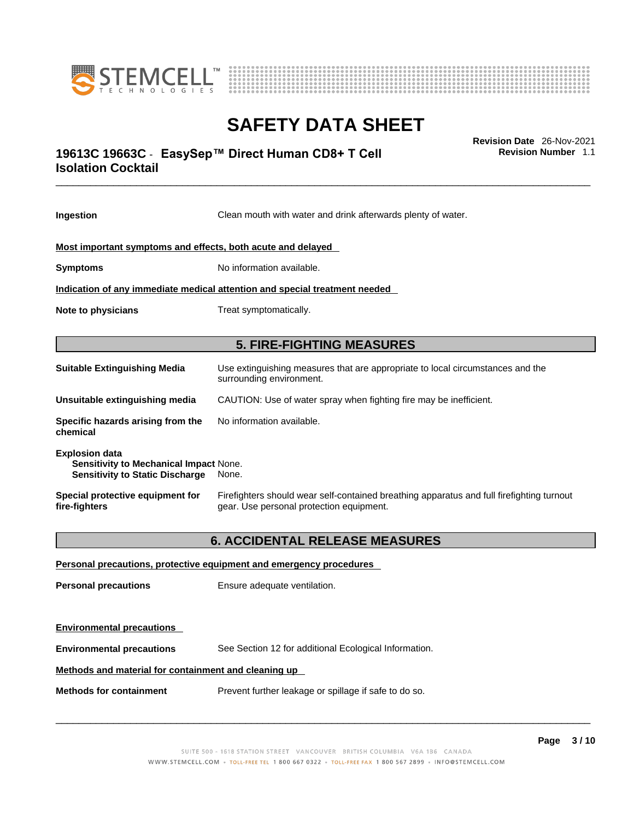



### \_\_\_\_\_\_\_\_\_\_\_\_\_\_\_\_\_\_\_\_\_\_\_\_\_\_\_\_\_\_\_\_\_\_\_\_\_\_\_\_\_\_\_\_\_\_\_\_\_\_\_\_\_\_\_\_\_\_\_\_\_\_\_\_\_\_\_\_\_\_\_\_\_\_\_\_\_\_\_\_\_\_\_\_\_\_\_\_\_\_\_\_\_ **Revision Date** 26-Nov-2021 **19613C 19663C** - **EasySep™ Direct Human CD8+ T Cell Isolation Cocktail**

**Ingestion** Clean mouth with water and drink afterwards plenty of water. **Most important symptoms and effects, both acute and delayed Symptoms** No information available. **Indication of any immediate medical attention and special treatment needed Note to physicians** Treat symptomatically. **5. FIRE-FIGHTING MEASURES Suitable Extinguishing Media** Use extinguishing measures that are appropriate to local circumstances and the surrounding environment. **Unsuitable extinguishing media** CAUTION: Use of water spray when fighting fire may be inefficient. **Specific hazards arising from the chemical** No information available. **Explosion data Sensitivity to Mechanical Impact** None. **Sensitivity to Static Discharge** None. **Special protective equipment for fire-fighters** Firefighters should wear self-contained breathing apparatus and full firefighting turnout gear. Use personal protection equipment. **6. ACCIDENTAL RELEASE MEASURES Personal precautions, protective equipment and emergency procedures Personal precautions** Ensure adequate ventilation. **Environmental precautions** 

**Environmental precautions** See Section 12 for additional Ecological Information.

### **Methods and material for containment and cleaning up**

**Methods for containment** Prevent further leakage or spillage if safe to do so.

 $\_$  ,  $\_$  ,  $\_$  ,  $\_$  ,  $\_$  ,  $\_$  ,  $\_$  ,  $\_$  ,  $\_$  ,  $\_$  ,  $\_$  ,  $\_$  ,  $\_$  ,  $\_$  ,  $\_$  ,  $\_$  ,  $\_$  ,  $\_$  ,  $\_$  ,  $\_$  ,  $\_$  ,  $\_$  ,  $\_$  ,  $\_$  ,  $\_$  ,  $\_$  ,  $\_$  ,  $\_$  ,  $\_$  ,  $\_$  ,  $\_$  ,  $\_$  ,  $\_$  ,  $\_$  ,  $\_$  ,  $\_$  ,  $\_$  ,

**Revision Number** 1.1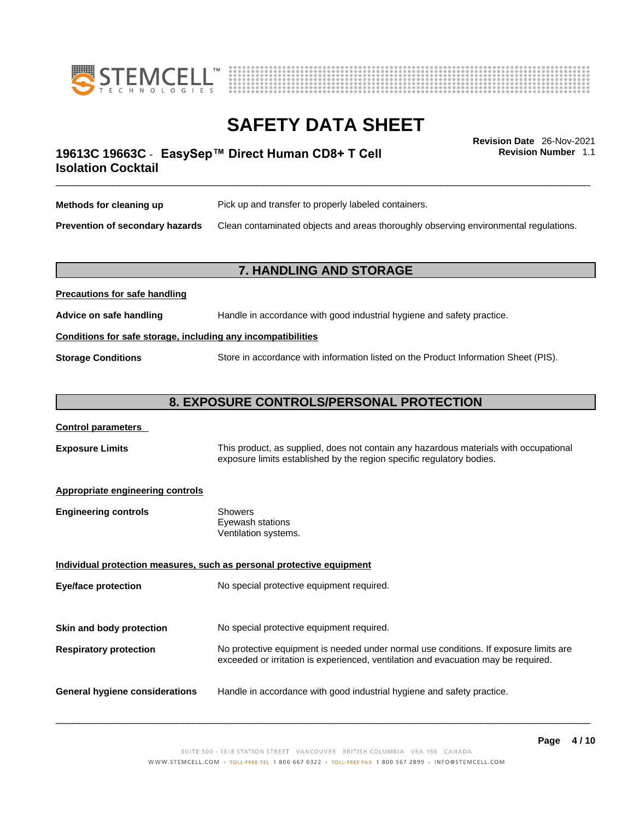



**Revision Number** 1.1

### \_\_\_\_\_\_\_\_\_\_\_\_\_\_\_\_\_\_\_\_\_\_\_\_\_\_\_\_\_\_\_\_\_\_\_\_\_\_\_\_\_\_\_\_\_\_\_\_\_\_\_\_\_\_\_\_\_\_\_\_\_\_\_\_\_\_\_\_\_\_\_\_\_\_\_\_\_\_\_\_\_\_\_\_\_\_\_\_\_\_\_\_\_ **Revision Date** 26-Nov-2021 **19613C 19663C** - **EasySep™ Direct Human CD8+ T Cell Isolation Cocktail**

| Methods for cleaning up                | Pick up and transfer to properly labeled containers.                                 |
|----------------------------------------|--------------------------------------------------------------------------------------|
| <b>Prevention of secondary hazards</b> | Clean contaminated objects and areas thoroughly observing environmental regulations. |

### **7. HANDLING AND STORAGE**

## **Precautions for safe handling Advice on safe handling** Handle in accordance with good industrial hygiene and safety practice. **Conditions for safe storage, including any incompatibilities Storage Conditions** Store in accordance with information listed on the Product Information Sheet (PIS).

### **8. EXPOSURE CONTROLS/PERSONAL PROTECTION**

### **Control parameters**

**Exposure Limits** This product, as supplied, does not contain any hazardous materials with occupational exposure limits established by the region specific regulatory bodies.

### **Appropriate engineering controls**

| Showers              |
|----------------------|
| Eyewash stations     |
| Ventilation systems. |
|                      |

**Individual protection measures, such as personal protective equipment Eye/face protection** No special protective equipment required. **Skin and body protection** No special protective equipment required. **Respiratory protection** No protective equipment is needed under normal use conditions. If exposure limits are exceeded or irritation is experienced, ventilation and evacuation may be required. **General hygiene considerations** Handle in accordance with good industrial hygiene and safety practice.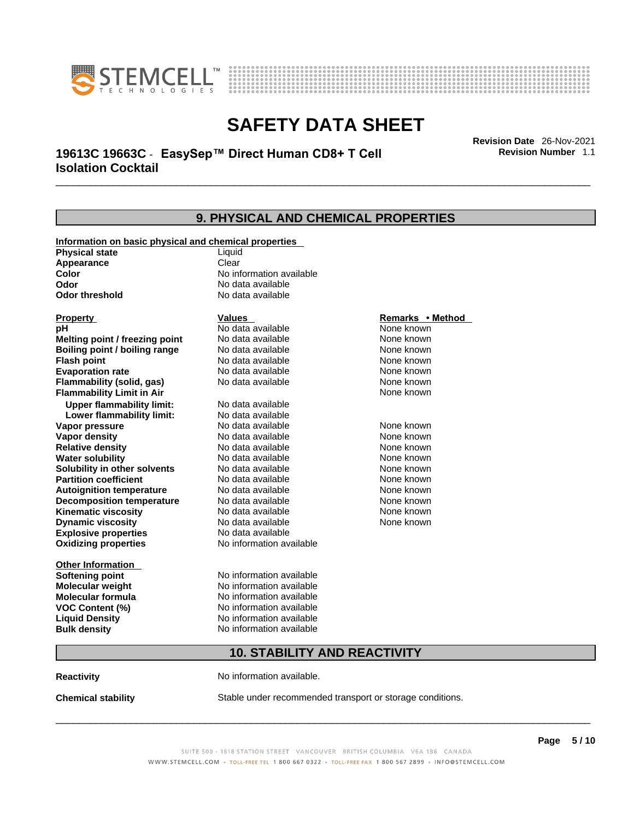



\_\_\_\_\_\_\_\_\_\_\_\_\_\_\_\_\_\_\_\_\_\_\_\_\_\_\_\_\_\_\_\_\_\_\_\_\_\_\_\_\_\_\_\_\_\_\_\_\_\_\_\_\_\_\_\_\_\_\_\_\_\_\_\_\_\_\_\_\_\_\_\_\_\_\_\_\_\_\_\_\_\_\_\_\_\_\_\_\_\_\_\_\_ **Revision Date** 26-Nov-2021 **19613C 19663C** - **EasySep™ Direct Human CD8+ T Cell Isolation Cocktail** 

| 9. PHYSICAL AND CHEMICAL PROPERTIES              |                                                       |                  |  |  |
|--------------------------------------------------|-------------------------------------------------------|------------------|--|--|
|                                                  | Information on basic physical and chemical properties |                  |  |  |
| <b>Physical state</b>                            | Liquid                                                |                  |  |  |
| Appearance                                       | Clear                                                 |                  |  |  |
| Color                                            | No information available                              |                  |  |  |
| Odor                                             | No data available                                     |                  |  |  |
| <b>Odor threshold</b>                            | No data available                                     |                  |  |  |
| <b>Property</b>                                  | Values                                                | Remarks • Method |  |  |
| pH                                               | No data available                                     | None known       |  |  |
| Melting point / freezing point                   | No data available                                     | None known       |  |  |
| Boiling point / boiling range                    | No data available                                     | None known       |  |  |
| <b>Flash point</b>                               | No data available                                     | None known       |  |  |
| <b>Evaporation rate</b>                          | No data available                                     | None known       |  |  |
| Flammability (solid, gas)                        | No data available                                     | None known       |  |  |
| <b>Flammability Limit in Air</b>                 |                                                       | None known       |  |  |
| <b>Upper flammability limit:</b>                 | No data available                                     |                  |  |  |
| Lower flammability limit:                        | No data available                                     |                  |  |  |
| Vapor pressure                                   | No data available                                     | None known       |  |  |
| Vapor density                                    | No data available                                     | None known       |  |  |
| <b>Relative density</b>                          | No data available                                     | None known       |  |  |
| <b>Water solubility</b>                          | No data available                                     | None known       |  |  |
| Solubility in other solvents                     | No data available                                     | None known       |  |  |
| <b>Partition coefficient</b>                     | No data available                                     | None known       |  |  |
| <b>Autoignition temperature</b>                  | No data available                                     | None known       |  |  |
| <b>Decomposition temperature</b>                 | No data available                                     | None known       |  |  |
| <b>Kinematic viscosity</b>                       | No data available                                     | None known       |  |  |
| <b>Dynamic viscosity</b>                         | No data available<br>None known                       |                  |  |  |
| <b>Explosive properties</b><br>No data available |                                                       |                  |  |  |
| <b>Oxidizing properties</b>                      | No information available                              |                  |  |  |
| <b>Other Information</b>                         |                                                       |                  |  |  |
| <b>Softening point</b>                           | No information available                              |                  |  |  |
| Molecular weight<br>No information available     |                                                       |                  |  |  |
| Molecular formula                                | No information available                              |                  |  |  |
| <b>VOC Content (%)</b>                           | No information available                              |                  |  |  |
| <b>Liquid Density</b>                            | No information available                              |                  |  |  |
| <b>Bulk density</b>                              | No information available                              |                  |  |  |
| <b>10. STABILITY AND REACTIVITY</b>              |                                                       |                  |  |  |
|                                                  |                                                       |                  |  |  |

**Reactivity No information available.** 

**Chemical stability** Stable under recommended transport or storage conditions.

 $\_$  ,  $\_$  ,  $\_$  ,  $\_$  ,  $\_$  ,  $\_$  ,  $\_$  ,  $\_$  ,  $\_$  ,  $\_$  ,  $\_$  ,  $\_$  ,  $\_$  ,  $\_$  ,  $\_$  ,  $\_$  ,  $\_$  ,  $\_$  ,  $\_$  ,  $\_$  ,  $\_$  ,  $\_$  ,  $\_$  ,  $\_$  ,  $\_$  ,  $\_$  ,  $\_$  ,  $\_$  ,  $\_$  ,  $\_$  ,  $\_$  ,  $\_$  ,  $\_$  ,  $\_$  ,  $\_$  ,  $\_$  ,  $\_$  ,

**Revision Number** 1.1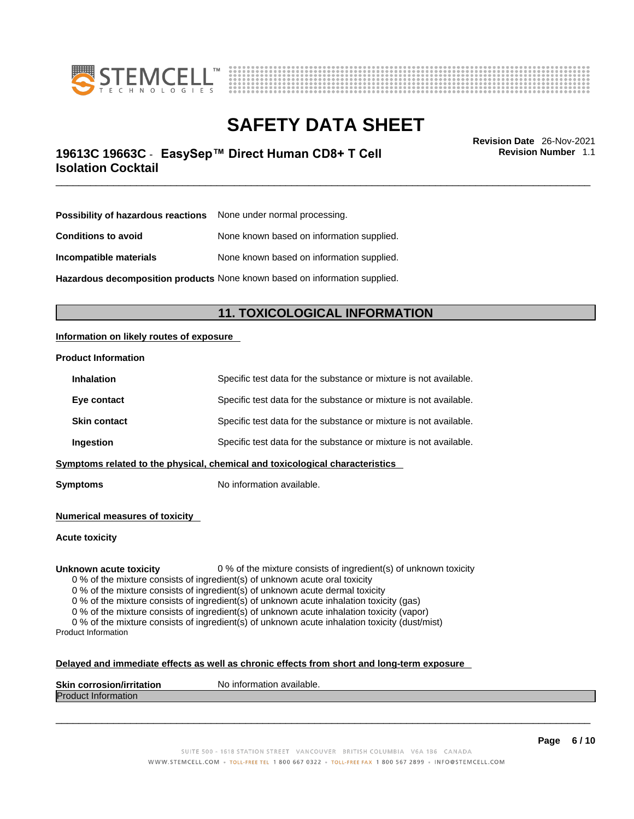



### \_\_\_\_\_\_\_\_\_\_\_\_\_\_\_\_\_\_\_\_\_\_\_\_\_\_\_\_\_\_\_\_\_\_\_\_\_\_\_\_\_\_\_\_\_\_\_\_\_\_\_\_\_\_\_\_\_\_\_\_\_\_\_\_\_\_\_\_\_\_\_\_\_\_\_\_\_\_\_\_\_\_\_\_\_\_\_\_\_\_\_\_\_ **Revision Date** 26-Nov-2021 **19613C 19663C** - **EasySep™ Direct Human CD8+ T Cell Isolation Cocktail**

**Revision Number** 1.1

| <b>Possibility of hazardous reactions</b> None under normal processing.    |                                           |  |
|----------------------------------------------------------------------------|-------------------------------------------|--|
| <b>Conditions to avoid</b>                                                 | None known based on information supplied. |  |
| Incompatible materials                                                     | None known based on information supplied. |  |
| Hazardous decomposition products None known based on information supplied. |                                           |  |

**11. TOXICOLOGICAL INFORMATION** 

### **Information on likely routes of exposure**

#### **Product Information**

| Symptoms related to the physical, chemical and toxicological characteristics |                     |                                                                   |
|------------------------------------------------------------------------------|---------------------|-------------------------------------------------------------------|
|                                                                              | Ingestion           | Specific test data for the substance or mixture is not available. |
|                                                                              | <b>Skin contact</b> | Specific test data for the substance or mixture is not available. |
|                                                                              | Eye contact         | Specific test data for the substance or mixture is not available. |
|                                                                              | <b>Inhalation</b>   | Specific test data for the substance or mixture is not available. |

**Symptoms** No information available.

**Numerical measures of toxicity**

**Acute toxicity**

**Unknown acute toxicity** 0 % of the mixture consists of ingredient(s) of unknown toxicity

0 % of the mixture consists of ingredient(s) of unknown acute oral toxicity

0 % of the mixture consists of ingredient(s) of unknown acute dermal toxicity

0 % of the mixture consists of ingredient(s) of unknown acute inhalation toxicity (gas)

0 % of the mixture consists of ingredient(s) of unknown acute inhalation toxicity (vapor)

0 % of the mixture consists of ingredient(s) of unknown acute inhalation toxicity (dust/mist) Product Information

### **Delayed and immediate effects as well as chronic effects from short and long-term exposure**

| <b>Skin</b><br>ion/irritation<br>ı corrosior | No information available. |
|----------------------------------------------|---------------------------|
| <b>IProdi</b><br><b>Information</b><br>ucu.  |                           |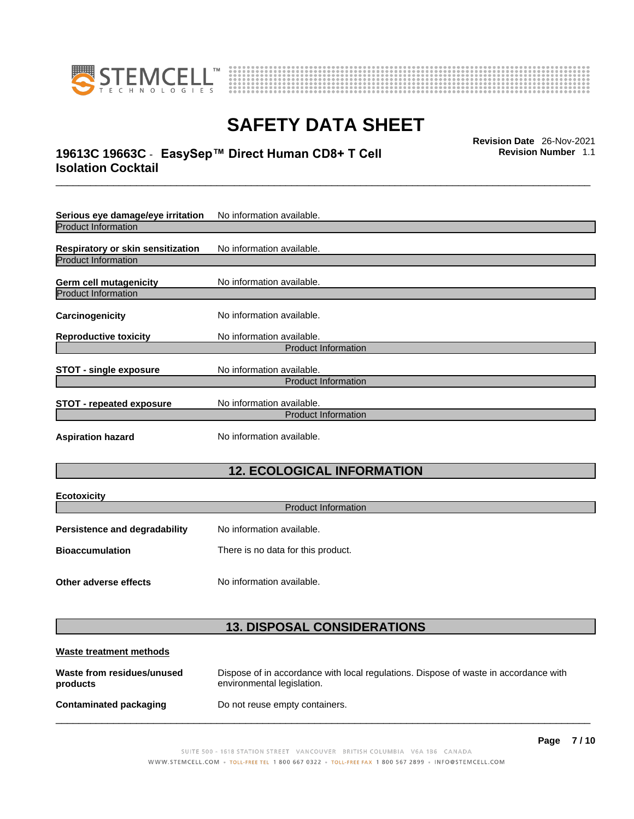



### \_\_\_\_\_\_\_\_\_\_\_\_\_\_\_\_\_\_\_\_\_\_\_\_\_\_\_\_\_\_\_\_\_\_\_\_\_\_\_\_\_\_\_\_\_\_\_\_\_\_\_\_\_\_\_\_\_\_\_\_\_\_\_\_\_\_\_\_\_\_\_\_\_\_\_\_\_\_\_\_\_\_\_\_\_\_\_\_\_\_\_\_\_ **Revision Date** 26-Nov-2021 **19613C 19663C** - **EasySep™ Direct Human CD8+ T Cell Isolation Cocktail**

**Revision Number** 1.1

| Serious eye damage/eye irritation | No information available. |  |
|-----------------------------------|---------------------------|--|
| <b>Product Information</b>        |                           |  |
| Respiratory or skin sensitization | No information available. |  |
| <b>Product Information</b>        |                           |  |
| <b>Germ cell mutagenicity</b>     | No information available. |  |
| <b>Product Information</b>        |                           |  |
| Carcinogenicity                   | No information available. |  |
| <b>Reproductive toxicity</b>      | No information available. |  |
| <b>Product Information</b>        |                           |  |
| <b>STOT - single exposure</b>     | No information available. |  |
| <b>Product Information</b>        |                           |  |
| <b>STOT - repeated exposure</b>   | No information available. |  |
| <b>Product Information</b>        |                           |  |
| <b>Aspiration hazard</b>          | No information available. |  |

### **12. ECOLOGICAL INFORMATION**

| <b>Ecotoxicity</b>                   |                                    |  |
|--------------------------------------|------------------------------------|--|
| <b>Product Information</b>           |                                    |  |
| <b>Persistence and degradability</b> | No information available.          |  |
| <b>Bioaccumulation</b>               | There is no data for this product. |  |
| Other adverse effects                | No information available.          |  |

### **13. DISPOSAL CONSIDERATIONS**

| Waste treatment methods                |                                                                                                                    |  |
|----------------------------------------|--------------------------------------------------------------------------------------------------------------------|--|
| Waste from residues/unused<br>products | Dispose of in accordance with local regulations. Dispose of waste in accordance with<br>environmental legislation. |  |
| Contaminated packaging                 | Do not reuse empty containers.                                                                                     |  |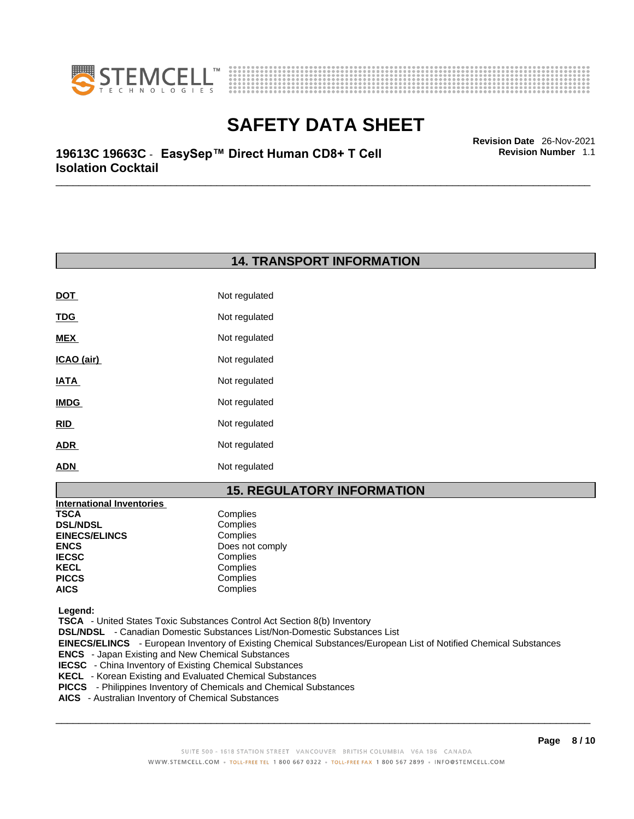



\_\_\_\_\_\_\_\_\_\_\_\_\_\_\_\_\_\_\_\_\_\_\_\_\_\_\_\_\_\_\_\_\_\_\_\_\_\_\_\_\_\_\_\_\_\_\_\_\_\_\_\_\_\_\_\_\_\_\_\_\_\_\_\_\_\_\_\_\_\_\_\_\_\_\_\_\_\_\_\_\_\_\_\_\_\_\_\_\_\_\_\_\_ **Revision Date** 26-Nov-2021 **19613C 19663C** - **EasySep™ Direct Human CD8+ T Cell Isolation Cocktail** 

### **14. TRANSPORT INFORMATION**

| <b>DOT</b>  | Not regulated |
|-------------|---------------|
| <b>TDG</b>  | Not regulated |
| <b>MEX</b>  | Not regulated |
| ICAO (air)  | Not regulated |
| <b>IATA</b> | Not regulated |
| <b>IMDG</b> | Not regulated |
| <b>RID</b>  | Not regulated |
| <b>ADR</b>  | Not regulated |
| <b>ADN</b>  | Not regulated |

### **15. REGULATORY INFORMATION**

| <b>International Inventories</b> |                 |
|----------------------------------|-----------------|
| TSCA                             | Complies        |
| <b>DSL/NDSL</b>                  | Complies        |
| <b>EINECS/ELINCS</b>             | Complies        |
| ENCS                             | Does not comply |
| <b>IECSC</b>                     | Complies        |
| KECL                             | Complies        |
| PICCS                            | Complies        |
| AICS                             | Complies        |
|                                  |                 |

 **Legend:** 

 **TSCA** - United States Toxic Substances Control Act Section 8(b) Inventory

 **DSL/NDSL** - Canadian Domestic Substances List/Non-Domestic Substances List

 **EINECS/ELINCS** - European Inventory of Existing Chemical Substances/European List of Notified Chemical Substances

- **ENCS**  Japan Existing and New Chemical Substances
- **IECSC**  China Inventory of Existing Chemical Substances
- **KECL**  Korean Existing and Evaluated Chemical Substances
- **PICCS**  Philippines Inventory of Chemicals and Chemical Substances
- **AICS**  Australian Inventory of Chemical Substances

 $\_$  ,  $\_$  ,  $\_$  ,  $\_$  ,  $\_$  ,  $\_$  ,  $\_$  ,  $\_$  ,  $\_$  ,  $\_$  ,  $\_$  ,  $\_$  ,  $\_$  ,  $\_$  ,  $\_$  ,  $\_$  ,  $\_$  ,  $\_$  ,  $\_$  ,  $\_$  ,  $\_$  ,  $\_$  ,  $\_$  ,  $\_$  ,  $\_$  ,  $\_$  ,  $\_$  ,  $\_$  ,  $\_$  ,  $\_$  ,  $\_$  ,  $\_$  ,  $\_$  ,  $\_$  ,  $\_$  ,  $\_$  ,  $\_$  ,

**Revision Number** 1.1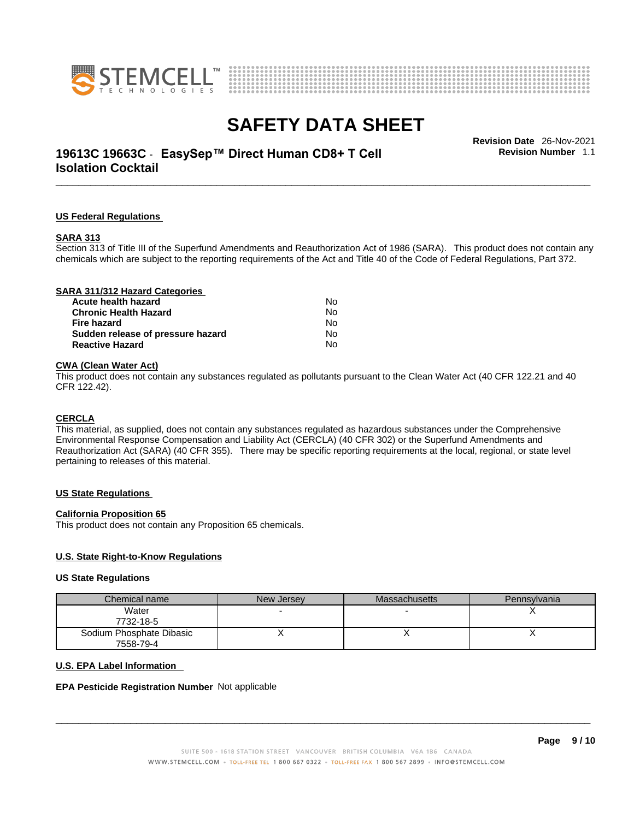



### \_\_\_\_\_\_\_\_\_\_\_\_\_\_\_\_\_\_\_\_\_\_\_\_\_\_\_\_\_\_\_\_\_\_\_\_\_\_\_\_\_\_\_\_\_\_\_\_\_\_\_\_\_\_\_\_\_\_\_\_\_\_\_\_\_\_\_\_\_\_\_\_\_\_\_\_\_\_\_\_\_\_\_\_\_\_\_\_\_\_\_\_\_ **Revision Date** 26-Nov-2021 **19613C 19663C** - **EasySep™ Direct Human CD8+ T Cell Isolation Cocktail**

**Revision Number** 1.1

#### **US Federal Regulations**

#### **SARA 313**

Section 313 of Title III of the Superfund Amendments and Reauthorization Act of 1986 (SARA). This product does not contain any chemicals which are subject to the reporting requirements of the Act and Title 40 of the Code of Federal Regulations, Part 372.

### **CWA** (Clean Water Act)

This product does not contain any substances regulated as pollutants pursuant to the Clean Water Act (40 CFR 122.21 and 40 CFR 122.42).

#### **CERCLA**

This material, as supplied, does not contain any substances regulated as hazardous substances under the Comprehensive Environmental Response Compensation and Liability Act (CERCLA) (40 CFR 302) or the Superfund Amendments and Reauthorization Act (SARA) (40 CFR 355). There may be specific reporting requirements at the local, regional, or state level pertaining to releases of this material.

#### **US State Regulations**

#### **California Proposition 65**

This product does not contain any Proposition 65 chemicals.

### **U.S. State Right-to-Know Regulations**

#### **US State Regulations**

| Chemical name            | New Jersey | <b>Massachusetts</b> | Pennsylvania |
|--------------------------|------------|----------------------|--------------|
| Water                    |            |                      |              |
| 7732-18-5                |            |                      |              |
| Sodium Phosphate Dibasic |            |                      | ,,           |
| 7558-79-4                |            |                      |              |

#### **U.S. EPA Label Information**

#### **EPA Pesticide Registration Number** Not applicable